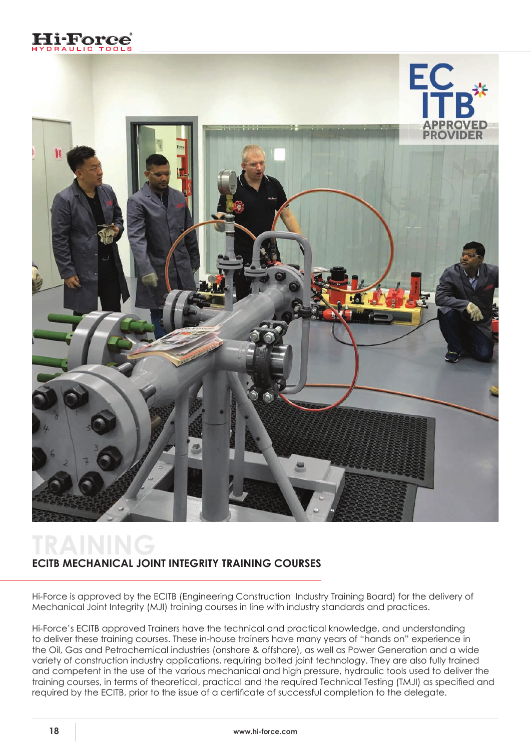



## **TRAINING ECITB MECHANICAL JOINT INTEGRITY TRAINING COURSES**

Hi-Force is approved by the ECITB (Engineering Construction Industry Training Board) for the delivery of Mechanical Joint Integrity (MJI) training courses in line with industry standards and practices.

Hi-Force's ECITB approved Trainers have the technical and practical knowledge, and understanding to deliver these training courses. These in-house trainers have many years of "hands on" experience in the Oil, Gas and Petrochemical industries (onshore & offshore), as well as Power Generation and a wide variety of construction industry applications, requiring bolted joint technology. They are also fully trained and competent in the use of the various mechanical and high pressure, hydraulic tools used to deliver the training courses, in terms of theoretical, practical and the required Technical Testing (TMJI) as specified and required by the ECITB, prior to the issue of a certificate of successful completion to the delegate.